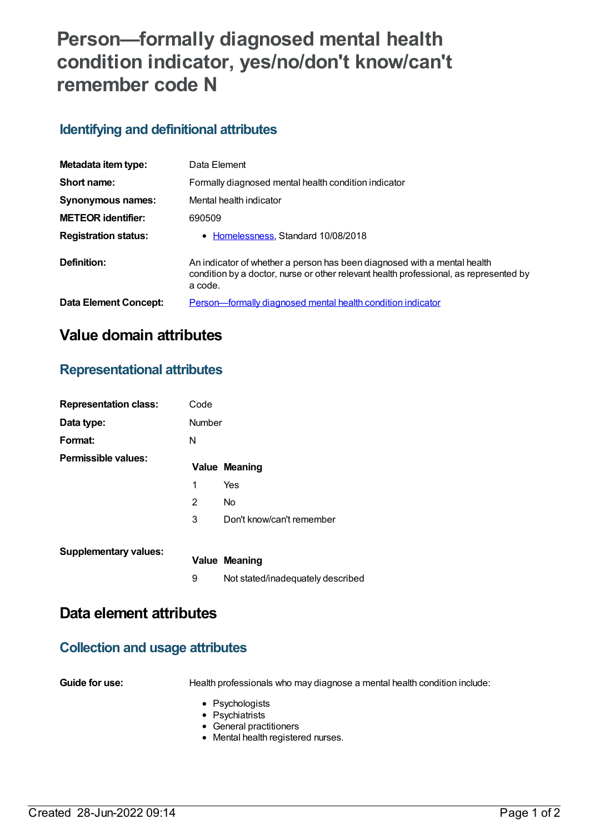# **Person—formally diagnosed mental health condition indicator, yes/no/don't know/can't remember code N**

#### **Identifying and definitional attributes**

| Metadata item type:          | Data Element                                                                                                                                                                 |
|------------------------------|------------------------------------------------------------------------------------------------------------------------------------------------------------------------------|
| Short name:                  | Formally diagnosed mental health condition indicator                                                                                                                         |
| Synonymous names:            | Mental health indicator                                                                                                                                                      |
| <b>METEOR identifier:</b>    | 690509                                                                                                                                                                       |
| <b>Registration status:</b>  | • Homelessness, Standard 10/08/2018                                                                                                                                          |
| Definition:                  | An indicator of whether a person has been diagnosed with a mental health<br>condition by a doctor, nurse or other relevant health professional, as represented by<br>a code. |
| <b>Data Element Concept:</b> | <b>Person-formally diagnosed mental health condition indicator</b>                                                                                                           |

# **Value domain attributes**

#### **Representational attributes**

| <b>Representation class:</b> | Code          |                                   |
|------------------------------|---------------|-----------------------------------|
| Data type:                   | <b>Number</b> |                                   |
| Format:                      | N             |                                   |
| Permissible values:          |               | <b>Value Meaning</b>              |
|                              | 1             | Yes                               |
|                              | 2             | <b>No</b>                         |
|                              | 3             | Don't know/can't remember         |
| <b>Supplementary values:</b> |               | <b>Value Meaning</b>              |
|                              | 9             | Not stated/inadequately described |

## **Data element attributes**

# **Collection and usage attributes**

**Guide for use:** Health professionals who may diagnose a mental health condition include:

- Psychologists
- Psychiatrists
- General practitioners
- Mental health registered nurses.